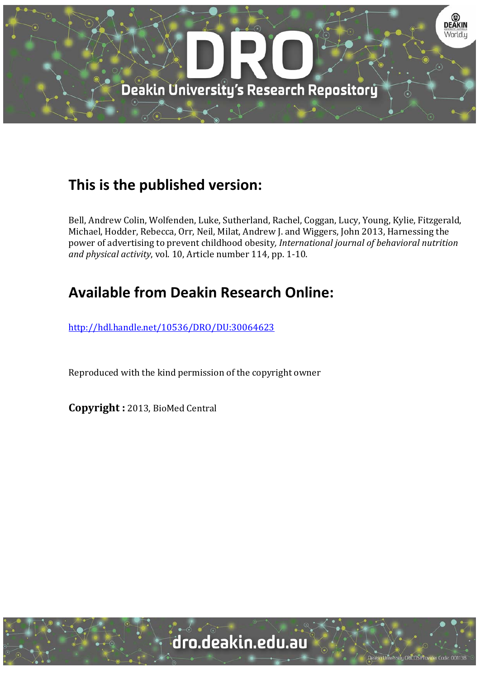

## **This is the published version:**

Bell, Andrew Colin, Wolfenden, Luke, Sutherland, Rachel, Coggan, Lucy, Young, Kylie, Fitzgerald, Michael, Hodder, Rebecca, Orr, Neil, Milat, Andrew J. and Wiggers, John 2013, Harnessing the power of advertising to prevent childhood obesity*, International journal of behavioral nutrition and physical activity*, vol. 10, Article number 114, pp. 1-10.

# **Available from Deakin Research Online:**

http://hdl.handle.net/10536/DRO/DU:30064623

Reproduced with the kind permission of the copyright owner

**Copyright :** 2013, BioMed Central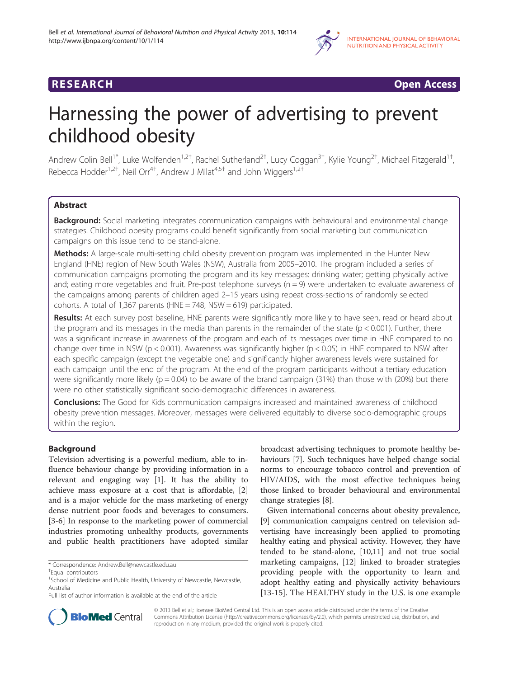

### **RESEARCH RESEARCH CONSUMING ACCESS**

# Harnessing the power of advertising to prevent childhood obesity

Andrew Colin Bell<sup>1\*</sup>, Luke Wolfenden<sup>1,2†</sup>, Rachel Sutherland<sup>2†</sup>, Lucy Coggan<sup>3†</sup>, Kylie Young<sup>2†</sup>, Michael Fitzgerald<sup>1†</sup> , Rebecca Hodder<sup>1,2†</sup>, Neil Orr<sup>4†</sup>, Andrew J Milat<sup>4,5†</sup> and John Wiggers<sup>1,2†</sup>

#### **Abstract**

Background: Social marketing integrates communication campaigns with behavioural and environmental change strategies. Childhood obesity programs could benefit significantly from social marketing but communication campaigns on this issue tend to be stand-alone.

Methods: A large-scale multi-setting child obesity prevention program was implemented in the Hunter New England (HNE) region of New South Wales (NSW), Australia from 2005–2010. The program included a series of communication campaigns promoting the program and its key messages: drinking water; getting physically active and; eating more vegetables and fruit. Pre-post telephone surveys  $(n = 9)$  were undertaken to evaluate awareness of the campaigns among parents of children aged 2–15 years using repeat cross-sections of randomly selected cohorts. A total of 1,367 parents (HNE = 748, NSW = 619) participated.

Results: At each survey post baseline, HNE parents were significantly more likely to have seen, read or heard about the program and its messages in the media than parents in the remainder of the state ( $p < 0.001$ ). Further, there was a significant increase in awareness of the program and each of its messages over time in HNE compared to no change over time in NSW ( $p < 0.001$ ). Awareness was significantly higher ( $p < 0.05$ ) in HNE compared to NSW after each specific campaign (except the vegetable one) and significantly higher awareness levels were sustained for each campaign until the end of the program. At the end of the program participants without a tertiary education were significantly more likely ( $p = 0.04$ ) to be aware of the brand campaign (31%) than those with (20%) but there were no other statistically significant socio-demographic differences in awareness.

Conclusions: The Good for Kids communication campaigns increased and maintained awareness of childhood obesity prevention messages. Moreover, messages were delivered equitably to diverse socio-demographic groups within the region.

#### Background

Television advertising is a powerful medium, able to influence behaviour change by providing information in a relevant and engaging way [[1\]](#page-10-0). It has the ability to achieve mass exposure at a cost that is affordable, [\[2](#page-10-0)] and is a major vehicle for the mass marketing of energy dense nutrient poor foods and beverages to consumers. [[3-6](#page-10-0)] In response to the marketing power of commercial industries promoting unhealthy products, governments and public health practitioners have adopted similar

broadcast advertising techniques to promote healthy behaviours [[7\]](#page-10-0). Such techniques have helped change social norms to encourage tobacco control and prevention of HIV/AIDS, with the most effective techniques being those linked to broader behavioural and environmental change strategies [\[8](#page-10-0)].

Given international concerns about obesity prevalence, [[9\]](#page-10-0) communication campaigns centred on television advertising have increasingly been applied to promoting healthy eating and physical activity. However, they have tended to be stand-alone, [\[10,11](#page-10-0)] and not true social marketing campaigns, [[12\]](#page-10-0) linked to broader strategies providing people with the opportunity to learn and adopt healthy eating and physically activity behaviours [[13-15](#page-10-0)]. The HEALTHY study in the U.S. is one example



© 2013 Bell et al.; licensee BioMed Central Ltd. This is an open access article distributed under the terms of the Creative Commons Attribution License [\(http://creativecommons.org/licenses/by/2.0\)](http://creativecommons.org/licenses/by/2.0), which permits unrestricted use, distribution, and reproduction in any medium, provided the original work is properly cited.

<sup>\*</sup> Correspondence: [Andrew.Bell@newcastle.edu.au](mailto:Andrew.Bell@newcastle.edu.au) †

<sup>&</sup>lt;sup>+</sup>Equal contributors

<sup>&</sup>lt;sup>1</sup>School of Medicine and Public Health, University of Newcastle, Newcastle, Australia

Full list of author information is available at the end of the article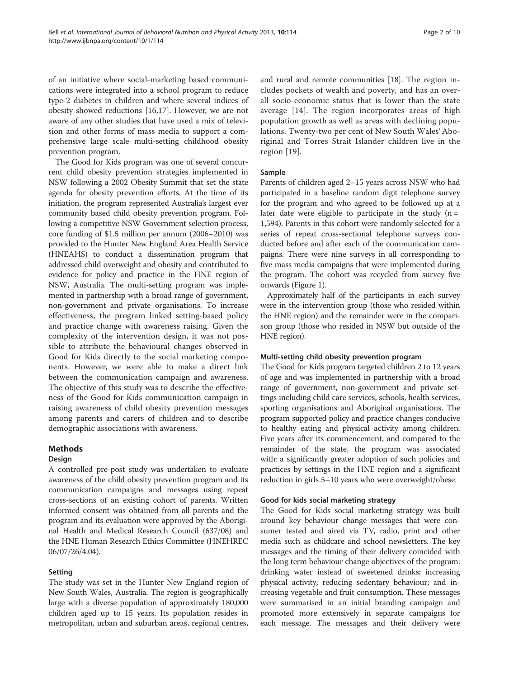of an initiative where social-marketing based communications were integrated into a school program to reduce type-2 diabetes in children and where several indices of obesity showed reductions [\[16,17\]](#page-10-0). However, we are not aware of any other studies that have used a mix of television and other forms of mass media to support a comprehensive large scale multi-setting childhood obesity prevention program.

The Good for Kids program was one of several concurrent child obesity prevention strategies implemented in NSW following a 2002 Obesity Summit that set the state agenda for obesity prevention efforts. At the time of its initiation, the program represented Australia's largest ever community based child obesity prevention program. Following a competitive NSW Government selection process, core funding of \$1.5 million per annum (2006–2010) was provided to the Hunter New England Area Health Service (HNEAHS) to conduct a dissemination program that addressed child overweight and obesity and contributed to evidence for policy and practice in the HNE region of NSW, Australia. The multi-setting program was implemented in partnership with a broad range of government, non-government and private organisations. To increase effectiveness, the program linked setting-based policy and practice change with awareness raising. Given the complexity of the intervention design, it was not possible to attribute the behavioural changes observed in Good for Kids directly to the social marketing components. However, we were able to make a direct link between the communication campaign and awareness. The objective of this study was to describe the effectiveness of the Good for Kids communication campaign in raising awareness of child obesity prevention messages among parents and carers of children and to describe demographic associations with awareness.

#### Methods

#### **Design**

A controlled pre-post study was undertaken to evaluate awareness of the child obesity prevention program and its communication campaigns and messages using repeat cross-sections of an existing cohort of parents. Written informed consent was obtained from all parents and the program and its evaluation were approved by the Aboriginal Health and Medical Research Council (637/08) and the HNE Human Research Ethics Committee (HNEHREC 06/07/26/4.04).

#### Setting

The study was set in the Hunter New England region of New South Wales, Australia. The region is geographically large with a diverse population of approximately 180,000 children aged up to 15 years. Its population resides in metropolitan, urban and suburban areas, regional centres,

and rural and remote communities [[18](#page-10-0)]. The region includes pockets of wealth and poverty, and has an overall socio-economic status that is lower than the state average [[14](#page-10-0)]. The region incorporates areas of high population growth as well as areas with declining populations. Twenty-two per cent of New South Wales' Aboriginal and Torres Strait Islander children live in the region [\[19\]](#page-10-0).

#### Sample

Parents of children aged 2–15 years across NSW who had participated in a baseline random digit telephone survey for the program and who agreed to be followed up at a later date were eligible to participate in the study  $(n =$ 1,594). Parents in this cohort were randomly selected for a series of repeat cross-sectional telephone surveys conducted before and after each of the communication campaigns. There were nine surveys in all corresponding to five mass media campaigns that were implemented during the program. The cohort was recycled from survey five onwards (Figure [1](#page-3-0)).

Approximately half of the participants in each survey were in the intervention group (those who resided within the HNE region) and the remainder were in the comparison group (those who resided in NSW but outside of the HNE region).

#### Multi-setting child obesity prevention program

The Good for Kids program targeted children 2 to 12 years of age and was implemented in partnership with a broad range of government, non-government and private settings including child care services, schools, health services, sporting organisations and Aboriginal organisations. The program supported policy and practice changes conducive to healthy eating and physical activity among children. Five years after its commencement, and compared to the remainder of the state, the program was associated with: a significantly greater adoption of such policies and practices by settings in the HNE region and a significant reduction in girls 5–10 years who were overweight/obese.

#### Good for kids social marketing strategy

The Good for Kids social marketing strategy was built around key behaviour change messages that were consumer tested and aired via TV, radio, print and other media such as childcare and school newsletters. The key messages and the timing of their delivery coincided with the long term behaviour change objectives of the program: drinking water instead of sweetened drinks; increasing physical activity; reducing sedentary behaviour; and increasing vegetable and fruit consumption. These messages were summarised in an initial branding campaign and promoted more extensively in separate campaigns for each message. The messages and their delivery were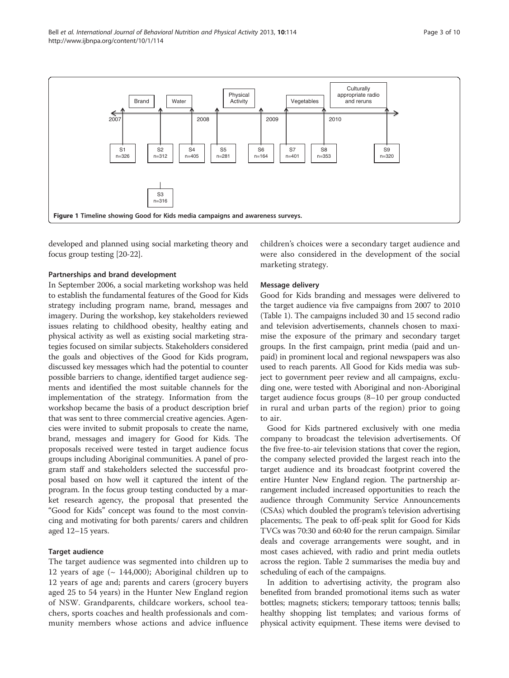<span id="page-3-0"></span>

developed and planned using social marketing theory and focus group testing [[20-22\]](#page-10-0).

#### Partnerships and brand development

In September 2006, a social marketing workshop was held to establish the fundamental features of the Good for Kids strategy including program name, brand, messages and imagery. During the workshop, key stakeholders reviewed issues relating to childhood obesity, healthy eating and physical activity as well as existing social marketing strategies focused on similar subjects. Stakeholders considered the goals and objectives of the Good for Kids program, discussed key messages which had the potential to counter possible barriers to change, identified target audience segments and identified the most suitable channels for the implementation of the strategy. Information from the workshop became the basis of a product description brief that was sent to three commercial creative agencies. Agencies were invited to submit proposals to create the name, brand, messages and imagery for Good for Kids. The proposals received were tested in target audience focus groups including Aboriginal communities. A panel of program staff and stakeholders selected the successful proposal based on how well it captured the intent of the program. In the focus group testing conducted by a market research agency, the proposal that presented the "Good for Kids" concept was found to the most convincing and motivating for both parents/ carers and children aged 12–15 years.

#### Target audience

The target audience was segmented into children up to 12 years of age  $($   $\sim$  144,000); Aboriginal children up to 12 years of age and; parents and carers (grocery buyers aged 25 to 54 years) in the Hunter New England region of NSW. Grandparents, childcare workers, school teachers, sports coaches and health professionals and community members whose actions and advice influence

children's choices were a secondary target audience and were also considered in the development of the social marketing strategy.

#### Message delivery

Good for Kids branding and messages were delivered to the target audience via five campaigns from 2007 to 2010 (Table [1\)](#page-4-0). The campaigns included 30 and 15 second radio and television advertisements, channels chosen to maximise the exposure of the primary and secondary target groups. In the first campaign, print media (paid and unpaid) in prominent local and regional newspapers was also used to reach parents. All Good for Kids media was subject to government peer review and all campaigns, excluding one, were tested with Aboriginal and non-Aboriginal target audience focus groups (8–10 per group conducted in rural and urban parts of the region) prior to going to air.

Good for Kids partnered exclusively with one media company to broadcast the television advertisements. Of the five free-to-air television stations that cover the region, the company selected provided the largest reach into the target audience and its broadcast footprint covered the entire Hunter New England region. The partnership arrangement included increased opportunities to reach the audience through Community Service Announcements (CSAs) which doubled the program's television advertising placements;. The peak to off-peak split for Good for Kids TVCs was 70:30 and 60:40 for the rerun campaign. Similar deals and coverage arrangements were sought, and in most cases achieved, with radio and print media outlets across the region. Table [2](#page-4-0) summarises the media buy and scheduling of each of the campaigns.

In addition to advertising activity, the program also benefited from branded promotional items such as water bottles; magnets; stickers; temporary tattoos; tennis balls; healthy shopping list templates; and various forms of physical activity equipment. These items were devised to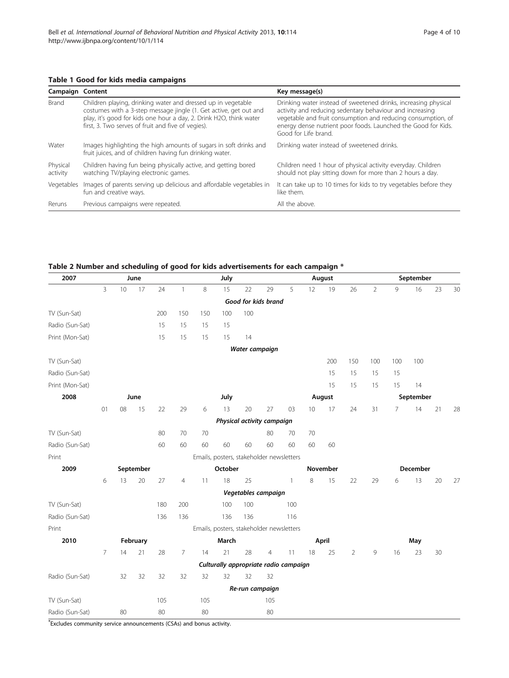#### <span id="page-4-0"></span>Table 1 Good for kids media campaigns

| Campaign Content     |                                                                                                                                                                                                                                                               | Key message(s)                                                                                                                                                                                                                                                                       |
|----------------------|---------------------------------------------------------------------------------------------------------------------------------------------------------------------------------------------------------------------------------------------------------------|--------------------------------------------------------------------------------------------------------------------------------------------------------------------------------------------------------------------------------------------------------------------------------------|
| Brand                | Children playing, drinking water and dressed up in vegetable<br>costumes with a 3-step message jingle (1. Get active, get out and<br>play, it's good for kids one hour a day, 2. Drink H2O, think water<br>first, 3. Two serves of fruit and five of vegies). | Drinking water instead of sweetened drinks, increasing physical<br>activity and reducing sedentary behaviour and increasing<br>vegetable and fruit consumption and reducing consumption, of<br>energy dense nutrient poor foods. Launched the Good for Kids.<br>Good for Life brand. |
| Water                | Images highlighting the high amounts of sugars in soft drinks and<br>fruit juices, and of children having fun drinking water.                                                                                                                                 | Drinking water instead of sweetened drinks.                                                                                                                                                                                                                                          |
| Physical<br>activity | Children having fun being physically active, and getting bored<br>watching TV/playing electronic games.                                                                                                                                                       | Children need 1 hour of physical activity everyday. Children<br>should not play sitting down for more than 2 hours a day.                                                                                                                                                            |
| Vegetables           | Images of parents serving up delicious and affordable vegetables in<br>fun and creative ways.                                                                                                                                                                 | It can take up to 10 times for kids to try vegetables before they<br>like them.                                                                                                                                                                                                      |
| Reruns               | Previous campaigns were repeated.                                                                                                                                                                                                                             | All the above.                                                                                                                                                                                                                                                                       |

#### Table 2 Number and scheduling of good for kids advertisements for each campaign \*

| 2007            | June           |           |    |       | July           |         |     |                            | August         |                                          |    |     | September      |                |                |     |    |    |
|-----------------|----------------|-----------|----|-------|----------------|---------|-----|----------------------------|----------------|------------------------------------------|----|-----|----------------|----------------|----------------|-----|----|----|
|                 | $\overline{3}$ | $10$      | 17 | 24    | $\mathbf{1}$   | $\,8\,$ | 15  | 22                         | 29             | 5                                        | 12 | 19  | 26             | $\overline{2}$ | 9              | 16  | 23 | 30 |
|                 |                |           |    |       |                |         |     | Good for kids brand        |                |                                          |    |     |                |                |                |     |    |    |
| TV (Sun-Sat)    |                |           |    | 200   | 150            | 150     | 100 | 100                        |                |                                          |    |     |                |                |                |     |    |    |
| Radio (Sun-Sat) |                |           |    | 15    | 15             | 15      | 15  |                            |                |                                          |    |     |                |                |                |     |    |    |
| Print (Mon-Sat) |                |           |    | 15    | 15             | 15      | 15  | 14                         |                |                                          |    |     |                |                |                |     |    |    |
|                 |                |           |    |       |                |         |     | Water campaign             |                |                                          |    |     |                |                |                |     |    |    |
| TV (Sun-Sat)    |                |           |    |       |                |         |     |                            |                |                                          |    | 200 | 150            | 100            | 100            | 100 |    |    |
| Radio (Sun-Sat) |                |           |    |       |                |         |     |                            |                |                                          |    | 15  | 15             | 15             | 15             |     |    |    |
| Print (Mon-Sat) |                |           |    |       |                |         |     |                            |                |                                          |    | 15  | 15             | 15             | 15             | 14  |    |    |
| 2008            | June           |           |    |       | July           |         |     |                            |                | August                                   |    |     |                | September      |                |     |    |    |
|                 | 01             | 08        | 15 | 22    | 29             | 6       | 13  | 20                         | 27             | 03                                       | 10 | 17  | 24             | 31             | $\overline{7}$ | 14  | 21 | 28 |
|                 |                |           |    |       |                |         |     | Physical activity campaign |                |                                          |    |     |                |                |                |     |    |    |
| TV (Sun-Sat)    |                |           |    | 80    | 70             | 70      |     |                            | 80             | 70                                       | 70 |     |                |                |                |     |    |    |
| Radio (Sun-Sat) |                |           |    | 60    | 60             | 60      | 60  | 60                         | 60             | 60                                       | 60 | 60  |                |                |                |     |    |    |
| Print           |                |           |    |       |                |         |     |                            |                | Emails, posters, stakeholder newsletters |    |     |                |                |                |     |    |    |
| 2009            |                | September |    |       | October        |         |     |                            |                | November                                 |    |     | December       |                |                |     |    |    |
|                 | 6              | 13        | 20 | 27    | $\overline{4}$ | 11      | 18  | 25                         |                | $\overline{1}$                           | 8  | 15  | 22             | 29             | 6              | 13  | 20 | 27 |
|                 |                |           |    |       |                |         |     | Vegetables campaign        |                |                                          |    |     |                |                |                |     |    |    |
| TV (Sun-Sat)    |                |           |    | 180   | 200            |         | 100 | 100                        |                | 100                                      |    |     |                |                |                |     |    |    |
| Radio (Sun-Sat) |                |           |    | 136   | 136            |         | 136 | 136                        |                | 116                                      |    |     |                |                |                |     |    |    |
| Print           |                |           |    |       |                |         |     |                            |                | Emails, posters, stakeholder newsletters |    |     |                |                |                |     |    |    |
| 2010            | February       |           |    | March |                |         |     |                            | April          |                                          |    |     | May            |                |                |     |    |    |
|                 | $\overline{7}$ | 14        | 21 | 28    | $\overline{7}$ | 14      | 21  | 28                         | $\overline{4}$ | 11                                       | 18 | 25  | $\overline{2}$ | 9              | 16             | 23  | 30 |    |
|                 |                |           |    |       |                |         |     |                            |                | Culturally appropriate radio campaign    |    |     |                |                |                |     |    |    |
| Radio (Sun-Sat) |                | 32        | 32 | 32    | 32             | 32      | 32  | 32                         | 32             |                                          |    |     |                |                |                |     |    |    |
|                 |                |           |    |       |                |         |     | Re-run campaign            |                |                                          |    |     |                |                |                |     |    |    |
| TV (Sun-Sat)    |                |           |    | 105   |                | 105     |     |                            | 105            |                                          |    |     |                |                |                |     |    |    |
| Radio (Sun-Sat) |                | 80        |    | 80    |                | 80      |     |                            | 80             |                                          |    |     |                |                |                |     |    |    |

\* Excludes community service announcements (CSAs) and bonus activity.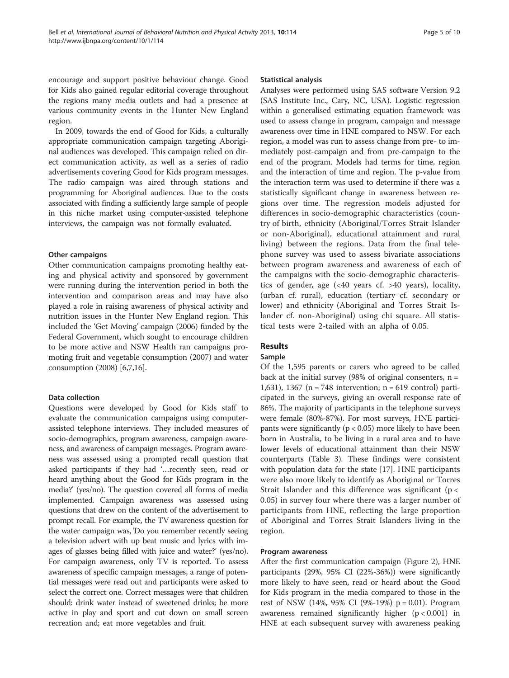encourage and support positive behaviour change. Good for Kids also gained regular editorial coverage throughout the regions many media outlets and had a presence at various community events in the Hunter New England region.

In 2009, towards the end of Good for Kids, a culturally appropriate communication campaign targeting Aboriginal audiences was developed. This campaign relied on direct communication activity, as well as a series of radio advertisements covering Good for Kids program messages. The radio campaign was aired through stations and programming for Aboriginal audiences. Due to the costs associated with finding a sufficiently large sample of people in this niche market using computer-assisted telephone interviews, the campaign was not formally evaluated.

#### Other campaigns

Other communication campaigns promoting healthy eating and physical activity and sponsored by government were running during the intervention period in both the intervention and comparison areas and may have also played a role in raising awareness of physical activity and nutrition issues in the Hunter New England region. This included the 'Get Moving' campaign (2006) funded by the Federal Government, which sought to encourage children to be more active and NSW Health ran campaigns promoting fruit and vegetable consumption (2007) and water consumption (2008) [\[6,7,16\]](#page-10-0).

#### Data collection

Questions were developed by Good for Kids staff to evaluate the communication campaigns using computerassisted telephone interviews. They included measures of socio-demographics, program awareness, campaign awareness, and awareness of campaign messages. Program awareness was assessed using a prompted recall question that asked participants if they had '…recently seen, read or heard anything about the Good for Kids program in the media?' (yes/no). The question covered all forms of media implemented. Campaign awareness was assessed using questions that drew on the content of the advertisement to prompt recall. For example, the TV awareness question for the water campaign was, 'Do you remember recently seeing a television advert with up beat music and lyrics with images of glasses being filled with juice and water?' (yes/no). For campaign awareness, only TV is reported. To assess awareness of specific campaign messages, a range of potential messages were read out and participants were asked to select the correct one. Correct messages were that children should: drink water instead of sweetened drinks; be more active in play and sport and cut down on small screen recreation and; eat more vegetables and fruit.

#### Statistical analysis

Analyses were performed using SAS software Version 9.2 (SAS Institute Inc., Cary, NC, USA). Logistic regression within a generalised estimating equation framework was used to assess change in program, campaign and message awareness over time in HNE compared to NSW. For each region, a model was run to assess change from pre- to immediately post-campaign and from pre-campaign to the end of the program. Models had terms for time, region and the interaction of time and region. The p-value from the interaction term was used to determine if there was a statistically significant change in awareness between regions over time. The regression models adjusted for differences in socio-demographic characteristics (country of birth, ethnicity (Aboriginal/Torres Strait Islander or non-Aboriginal), educational attainment and rural living) between the regions. Data from the final telephone survey was used to assess bivariate associations between program awareness and awareness of each of the campaigns with the socio-demographic characteristics of gender, age (<40 years cf. >40 years), locality, (urban cf. rural), education (tertiary cf. secondary or lower) and ethnicity (Aboriginal and Torres Strait Islander cf. non-Aboriginal) using chi square. All statistical tests were 2-tailed with an alpha of 0.05.

#### Results

#### Sample

Of the 1,595 parents or carers who agreed to be called back at the initial survey (98% of original consenters,  $n =$ 1,631), 1367 (n = 748 intervention; n = 619 control) participated in the surveys, giving an overall response rate of 86%. The majority of participants in the telephone surveys were female (80%-87%). For most surveys, HNE participants were significantly ( $p < 0.05$ ) more likely to have been born in Australia, to be living in a rural area and to have lower levels of educational attainment than their NSW counterparts (Table [3](#page-6-0)). These findings were consistent with population data for the state [\[17](#page-10-0)]. HNE participants were also more likely to identify as Aboriginal or Torres Strait Islander and this difference was significant (p < 0.05) in survey four where there was a larger number of participants from HNE, reflecting the large proportion of Aboriginal and Torres Strait Islanders living in the region.

#### Program awareness

After the first communication campaign (Figure [2](#page-6-0)), HNE participants (29%, 95% CI (22%-36%)) were significantly more likely to have seen, read or heard about the Good for Kids program in the media compared to those in the rest of NSW (14%, 95% CI (9%-19%) p = 0.01). Program awareness remained significantly higher  $(p < 0.001)$  in HNE at each subsequent survey with awareness peaking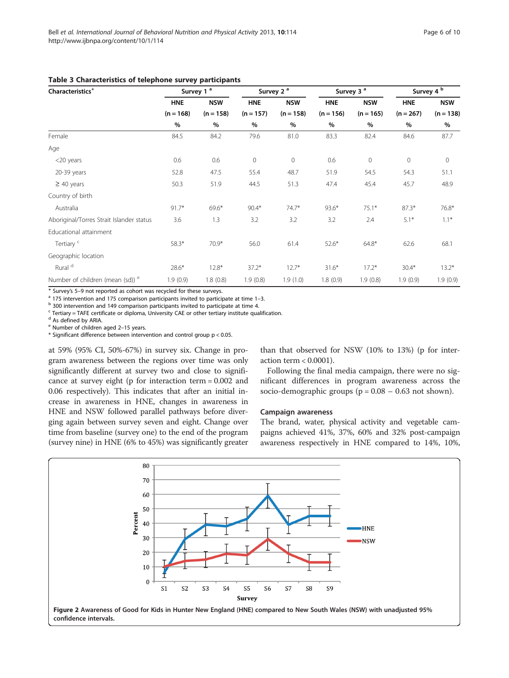| Characteristics <sup>+</sup>                |             | Survey 1 <sup>a</sup> |                                | Survey 2 <sup>a</sup> |             | Survey 3 <sup>a</sup> | Survey 4 <sup>b</sup>             |                  |  |
|---------------------------------------------|-------------|-----------------------|--------------------------------|-----------------------|-------------|-----------------------|-----------------------------------|------------------|--|
|                                             | <b>HNE</b>  | <b>NSW</b>            | <b>HNE</b><br>$(n = 157)$<br>% | <b>NSW</b>            | <b>HNE</b>  | <b>NSW</b>            | <b>HNE</b><br>$(n = 267)$<br>$\%$ | <b>NSW</b>       |  |
|                                             | $(n = 168)$ | $(n = 158)$<br>$\%$   |                                | $(n = 158)$           | $(n = 156)$ | $(n = 165)$           |                                   | $(n = 138)$<br>% |  |
|                                             | %           |                       |                                | %                     | %           | $\%$                  |                                   |                  |  |
| Female                                      | 84.5        | 84.2                  | 79.6                           | 81.0                  | 83.3        | 82.4                  | 84.6                              | 87.7             |  |
| Age                                         |             |                       |                                |                       |             |                       |                                   |                  |  |
| $<$ 20 years                                | 0.6         | 0.6                   | $\mathbf 0$                    | $\mathbf 0$           | 0.6         | $\mathbf{0}$          | $\circ$                           | $\circ$          |  |
| 20-39 years                                 | 52.8        | 47.5                  | 55.4                           | 48.7                  | 51.9        | 54.5                  | 54.3                              | 51.1             |  |
| $\geq 40$ years                             | 50.3        | 51.9                  | 44.5                           | 51.3                  | 47.4        | 45.4                  | 45.7                              | 48.9             |  |
| Country of birth                            |             |                       |                                |                       |             |                       |                                   |                  |  |
| Australia                                   | $91.7*$     | $69.6*$               | $90.4*$                        | $74.7*$               | $93.6*$     | $75.1*$               | $87.3*$                           | 76.8*            |  |
| Aboriginal/Torres Strait Islander status    | 3.6         | 1.3                   | 3.2                            | 3.2                   | 3.2         | 2.4                   | $5.1*$                            | $1.1*$           |  |
| Educational attainment                      |             |                       |                                |                       |             |                       |                                   |                  |  |
| Tertiary <sup>c</sup>                       | $58.3*$     | $70.9*$               | 56.0                           | 61.4                  | $52.6*$     | $64.8*$               | 62.6                              | 68.1             |  |
| Geographic location                         |             |                       |                                |                       |             |                       |                                   |                  |  |
| Rural <sup>d</sup>                          | $28.6*$     | $12.8*$               | $37.2*$                        | $12.7*$               | $31.6*$     | $17.2*$               | $30.4*$                           | $13.2*$          |  |
| Number of children (mean (sd)) <sup>e</sup> | 1.9(0.9)    | 1.8(0.8)              | 1.9(0.8)                       | 1.9(1.0)              | 1.8(0.9)    | 1.9(0.8)              | 1.9(0.9)                          | 1.9(0.9)         |  |

#### <span id="page-6-0"></span>Table 3 Characteristics of telephone survey participants

 $^+$  Survey's 5–9 not reported as cohort was recycled for these surveys.<br>  $^a$  175 intervention and 175 comparison participants invited to participate at time 1–3.<br>  $^b$  300 intervention and 149 comparison participants in

 $\epsilon$  Tertiary = TAFE certificate or diploma, University CAE or other tertiary institute qualification.

<sup>d</sup> As defined by ARIA.

<sup>e</sup> Number of children aged 2–15 years.

\* Significant difference between intervention and control group p < 0.05.

at 59% (95% CI, 50%-67%) in survey six. Change in program awareness between the regions over time was only significantly different at survey two and close to significance at survey eight (p for interaction term = 0.002 and 0.06 respectively). This indicates that after an initial increase in awareness in HNE, changes in awareness in HNE and NSW followed parallel pathways before diverging again between survey seven and eight. Change over time from baseline (survey one) to the end of the program (survey nine) in HNE (6% to 45%) was significantly greater

than that observed for NSW (10% to 13%) (p for interaction term < 0.0001).

Following the final media campaign, there were no significant differences in program awareness across the socio-demographic groups ( $p = 0.08 - 0.63$  not shown).

#### Campaign awareness

The brand, water, physical activity and vegetable campaigns achieved 41%, 37%, 60% and 32% post-campaign awareness respectively in HNE compared to 14%, 10%,

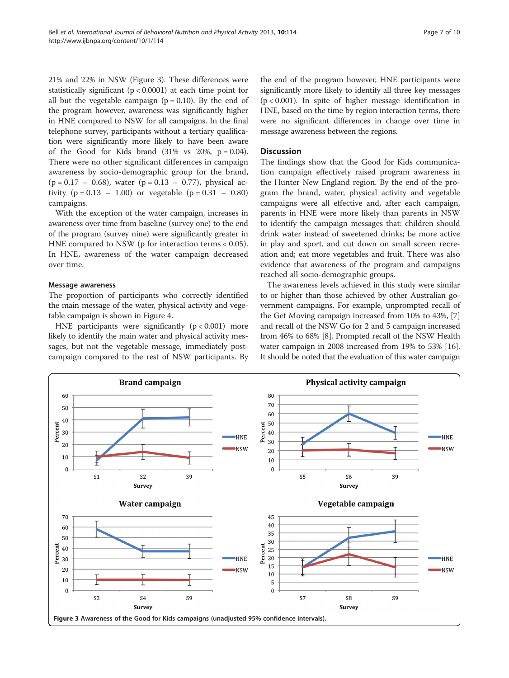<span id="page-7-0"></span>21% and 22% in NSW (Figure 3). These differences were statistically significant  $(p < 0.0001)$  at each time point for all but the vegetable campaign  $(p = 0.10)$ . By the end of the program however, awareness was significantly higher in HNE compared to NSW for all campaigns. In the final telephone survey, participants without a tertiary qualification were significantly more likely to have been aware of the Good for Kids brand  $(31\% \text{ vs } 20\%, \text{ p} = 0.04)$ . There were no other significant differences in campaign awareness by socio-demographic group for the brand,  $(p = 0.17 - 0.68)$ , water  $(p = 0.13 - 0.77)$ , physical activity  $(p = 0.13 - 1.00)$  or vegetable  $(p = 0.31 - 0.80)$ campaigns.

With the exception of the water campaign, increases in awareness over time from baseline (survey one) to the end of the program (survey nine) were significantly greater in HNE compared to NSW (p for interaction terms < 0.05). In HNE, awareness of the water campaign decreased over time.

#### Message awareness

The proportion of participants who correctly identified the main message of the water, physical activity and vegetable campaign is shown in Figure [4](#page-8-0).

HNE participants were significantly  $(p < 0.001)$  more likely to identify the main water and physical activity messages, but not the vegetable message, immediately postcampaign compared to the rest of NSW participants. By

the end of the program however, HNE participants were significantly more likely to identify all three key messages (p < 0.001). In spite of higher message identification in HNE, based on the time by region interaction terms, there were no significant differences in change over time in message awareness between the regions.

#### **Discussion**

The findings show that the Good for Kids communication campaign effectively raised program awareness in the Hunter New England region. By the end of the program the brand, water, physical activity and vegetable campaigns were all effective and, after each campaign, parents in HNE were more likely than parents in NSW to identify the campaign messages that: children should drink water instead of sweetened drinks; be more active in play and sport, and cut down on small screen recreation and; eat more vegetables and fruit. There was also evidence that awareness of the program and campaigns reached all socio-demographic groups.

The awareness levels achieved in this study were similar to or higher than those achieved by other Australian government campaigns. For example, unprompted recall of the Get Moving campaign increased from 10% to 43%, [[7](#page-10-0)] and recall of the NSW Go for 2 and 5 campaign increased from 46% to 68% [\[8\]](#page-10-0). Prompted recall of the NSW Health water campaign in 2008 increased from 19% to 53% [[16](#page-10-0)]. It should be noted that the evaluation of this water campaign

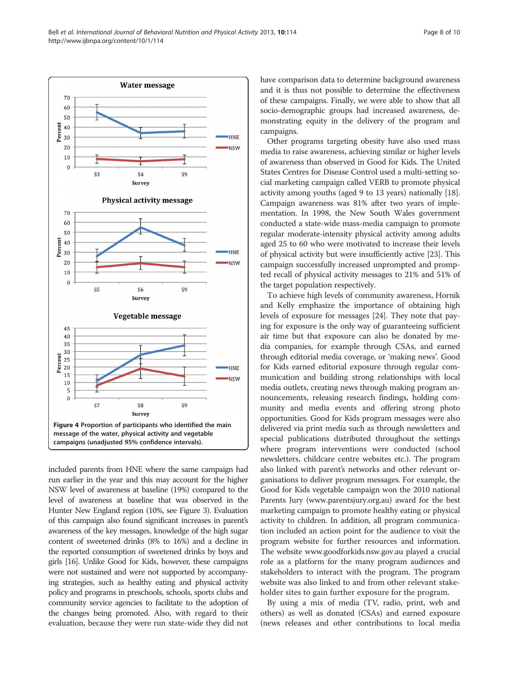<span id="page-8-0"></span>

included parents from HNE where the same campaign had run earlier in the year and this may account for the higher NSW level of awareness at baseline (19%) compared to the level of awareness at baseline that was observed in the Hunter New England region (10%, see Figure [3](#page-7-0)). Evaluation of this campaign also found significant increases in parent's awareness of the key messages, knowledge of the high sugar content of sweetened drinks (8% to 16%) and a decline in the reported consumption of sweetened drinks by boys and girls [\[16](#page-10-0)]. Unlike Good for Kids, however, these campaigns were not sustained and were not supported by accompanying strategies, such as healthy eating and physical activity policy and programs in preschools, schools, sports clubs and community service agencies to facilitate to the adoption of the changes being promoted. Also, with regard to their evaluation, because they were run state-wide they did not have comparison data to determine background awareness and it is thus not possible to determine the effectiveness of these campaigns. Finally, we were able to show that all socio-demographic groups had increased awareness, demonstrating equity in the delivery of the program and campaigns.

Other programs targeting obesity have also used mass media to raise awareness, achieving similar or higher levels of awareness than observed in Good for Kids. The United States Centres for Disease Control used a multi-setting social marketing campaign called VERB to promote physical activity among youths (aged 9 to 13 years) nationally [[18](#page-10-0)]. Campaign awareness was 81% after two years of implementation. In 1998, the New South Wales government conducted a state-wide mass-media campaign to promote regular moderate-intensity physical activity among adults aged 25 to 60 who were motivated to increase their levels of physical activity but were insufficiently active [\[23\]](#page-10-0). This campaign successfully increased unprompted and prompted recall of physical activity messages to 21% and 51% of the target population respectively.

To achieve high levels of community awareness, Hornik and Kelly emphasize the importance of obtaining high levels of exposure for messages [[24](#page-10-0)]. They note that paying for exposure is the only way of guaranteeing sufficient air time but that exposure can also be donated by media companies, for example through CSAs, and earned through editorial media coverage, or 'making news'. Good for Kids earned editorial exposure through regular communication and building strong relationships with local media outlets, creating news through making program announcements, releasing research findings, holding community and media events and offering strong photo opportunities. Good for Kids program messages were also delivered via print media such as through newsletters and special publications distributed throughout the settings where program interventions were conducted (school newsletters, childcare centre websites etc.). The program also linked with parent's networks and other relevant organisations to deliver program messages. For example, the Good for Kids vegetable campaign won the 2010 national Parents Jury [\(www.parentsjury.org.au\)](http://www.parentsjury.org.au/) award for the best marketing campaign to promote healthy eating or physical activity to children. In addition, all program communication included an action point for the audience to visit the program website for further resources and information. The website [www.goodforkids.nsw.gov.au](http://www.goodforkids.nsw.gov.au/) played a crucial role as a platform for the many program audiences and stakeholders to interact with the program. The program website was also linked to and from other relevant stakeholder sites to gain further exposure for the program.

By using a mix of media (TV, radio, print, web and others) as well as donated (CSAs) and earned exposure (news releases and other contributions to local media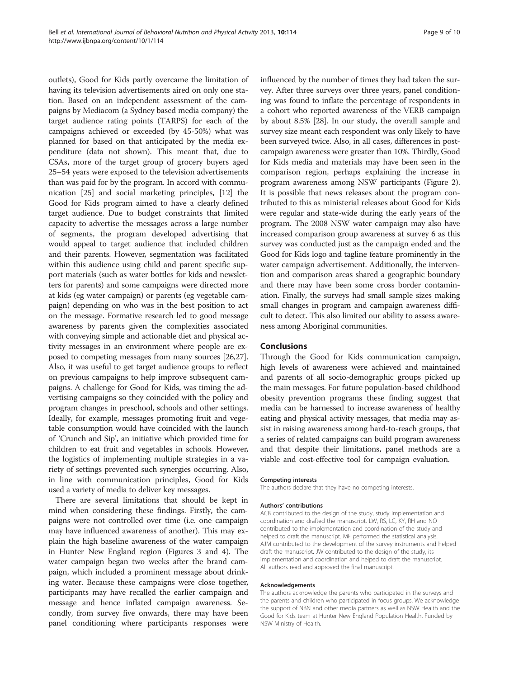outlets), Good for Kids partly overcame the limitation of having its television advertisements aired on only one station. Based on an independent assessment of the campaigns by Mediacom (a Sydney based media company) the target audience rating points (TARPS) for each of the campaigns achieved or exceeded (by 45-50%) what was planned for based on that anticipated by the media expenditure (data not shown). This meant that, due to CSAs, more of the target group of grocery buyers aged 25–54 years were exposed to the television advertisements than was paid for by the program. In accord with communication [[25](#page-10-0)] and social marketing principles, [[12](#page-10-0)] the Good for Kids program aimed to have a clearly defined target audience. Due to budget constraints that limited capacity to advertise the messages across a large number of segments, the program developed advertising that would appeal to target audience that included children and their parents. However, segmentation was facilitated within this audience using child and parent specific support materials (such as water bottles for kids and newsletters for parents) and some campaigns were directed more at kids (eg water campaign) or parents (eg vegetable campaign) depending on who was in the best position to act on the message. Formative research led to good message awareness by parents given the complexities associated with conveying simple and actionable diet and physical activity messages in an environment where people are exposed to competing messages from many sources [\[26,27](#page-10-0)]. Also, it was useful to get target audience groups to reflect on previous campaigns to help improve subsequent campaigns. A challenge for Good for Kids, was timing the advertising campaigns so they coincided with the policy and program changes in preschool, schools and other settings. Ideally, for example, messages promoting fruit and vegetable consumption would have coincided with the launch of 'Crunch and Sip', an initiative which provided time for children to eat fruit and vegetables in schools. However, the logistics of implementing multiple strategies in a variety of settings prevented such synergies occurring. Also, in line with communication principles, Good for Kids used a variety of media to deliver key messages.

There are several limitations that should be kept in mind when considering these findings. Firstly, the campaigns were not controlled over time (i.e. one campaign may have influenced awareness of another). This may explain the high baseline awareness of the water campaign in Hunter New England region (Figures [3](#page-7-0) and [4\)](#page-8-0). The water campaign began two weeks after the brand campaign, which included a prominent message about drinking water. Because these campaigns were close together, participants may have recalled the earlier campaign and message and hence inflated campaign awareness. Secondly, from survey five onwards, there may have been panel conditioning where participants responses were influenced by the number of times they had taken the survey. After three surveys over three years, panel conditioning was found to inflate the percentage of respondents in a cohort who reported awareness of the VERB campaign by about 8.5% [[28](#page-10-0)]. In our study, the overall sample and survey size meant each respondent was only likely to have been surveyed twice. Also, in all cases, differences in postcampaign awareness were greater than 10%. Thirdly, Good for Kids media and materials may have been seen in the comparison region, perhaps explaining the increase in program awareness among NSW participants (Figure [2](#page-6-0)). It is possible that news releases about the program contributed to this as ministerial releases about Good for Kids were regular and state-wide during the early years of the program. The 2008 NSW water campaign may also have increased comparison group awareness at survey 6 as this survey was conducted just as the campaign ended and the Good for Kids logo and tagline feature prominently in the water campaign advertisement. Additionally, the intervention and comparison areas shared a geographic boundary and there may have been some cross border contamination. Finally, the surveys had small sample sizes making small changes in program and campaign awareness difficult to detect. This also limited our ability to assess awareness among Aboriginal communities.

#### Conclusions

Through the Good for Kids communication campaign, high levels of awareness were achieved and maintained and parents of all socio-demographic groups picked up the main messages. For future population-based childhood obesity prevention programs these finding suggest that media can be harnessed to increase awareness of healthy eating and physical activity messages, that media may assist in raising awareness among hard-to-reach groups, that a series of related campaigns can build program awareness and that despite their limitations, panel methods are a viable and cost-effective tool for campaign evaluation.

#### Competing interests

The authors declare that they have no competing interests.

#### Authors' contributions

ACB contributed to the design of the study, study implementation and coordination and drafted the manuscript. LW, RS, LC, KY, RH and NO contributed to the implementation and coordination of the study and helped to draft the manuscript. MF performed the statistical analysis. AJM contributed to the development of the survey instruments and helped draft the manuscript. JW contributed to the design of the study, its implementation and coordination and helped to draft the manuscript. All authors read and approved the final manuscript.

#### Acknowledgements

The authors acknowledge the parents who participated in the surveys and the parents and children who participated in focus groups. We acknowledge the support of NBN and other media partners as well as NSW Health and the Good for Kids team at Hunter New England Population Health. Funded by NSW Ministry of Health.